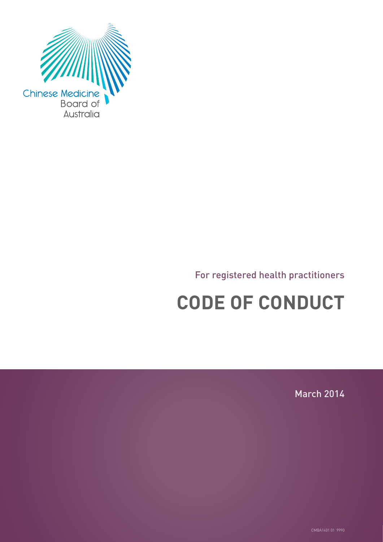

### For registered health practitioners

# **CODE OF CONDUCT**

March 2014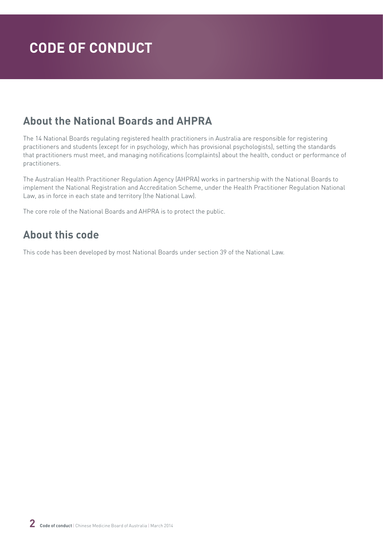### **About the National Boards and AHPRA**

The 14 National Boards regulating registered health practitioners in Australia are responsible for registering practitioners and students (except for in psychology, which has provisional psychologists), setting the standards that practitioners must meet, and managing notifications (complaints) about the health, conduct or performance of practitioners.

The Australian Health Practitioner Regulation Agency (AHPRA) works in partnership with the National Boards to implement the National Registration and Accreditation Scheme, under the Health Practitioner Regulation National Law, as in force in each state and territory (the National Law).

The core role of the National Boards and AHPRA is to protect the public.

### **About this code**

This code has been developed by most National Boards under section 39 of the National Law.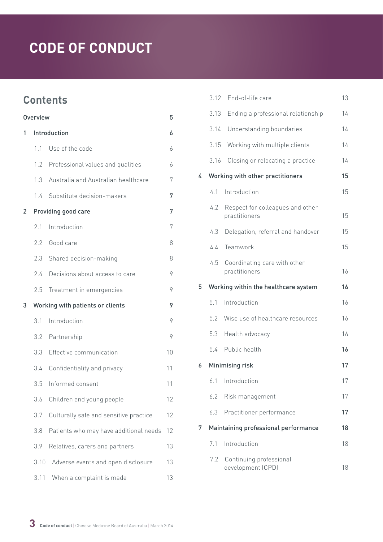### **Contents**

| Overview |      | 5                                      |    |
|----------|------|----------------------------------------|----|
| 1        |      | Introduction                           | 6  |
|          | 11   | Use of the code                        | 6  |
|          | 1.2  | Professional values and qualities      | 6  |
|          | 1.3  | Australia and Australian healthcare    | 7  |
|          | 1.4  | Substitute decision-makers             | 7  |
| 2        |      | Providing good care                    | 7  |
|          | 2.1  | Introduction                           | 7  |
|          | 2.2  | Good care                              | 8  |
|          | 2.3  | Shared decision-making                 | 8  |
|          | 2.4  | Decisions about access to care         | 9  |
|          | 2.5  | Treatment in emergencies               | 9  |
| 3        |      | Working with patients or clients       | 9  |
|          | 3.1  | Introduction                           | 9  |
|          | 3.2  | Partnership                            | 9  |
|          | 3.3  | Effective communication                | 10 |
|          | 3.4  | Confidentiality and privacy            | 11 |
|          | 3.5  | Informed consent                       | 11 |
|          | 3.6  | Children and young people              | 12 |
|          | 3.7  | Culturally safe and sensitive practice | 12 |
|          | 3.8  | Patients who may have additional needs | 12 |
|          | 3.9  | Relatives, carers and partners         | 13 |
|          | 3.10 | Adverse events and open disclosure     | 13 |
|          | 3.11 | When a complaint is made               | 13 |

|   |      | 3.12 End-of-life care                             | 13 |
|---|------|---------------------------------------------------|----|
|   | 3.13 | Ending a professional relationship                | 14 |
|   | 3.14 | Understanding boundaries                          | 14 |
|   | 3.15 | Working with multiple clients                     | 14 |
|   | 3.16 | Closing or relocating a practice                  | 14 |
| 4 |      | Working with other practitioners                  | 15 |
|   | 4.1  | Introduction                                      | 15 |
|   | 4.2  | Respect for colleagues and other<br>practitioners | 15 |
|   | 4.3  | Delegation, referral and handover                 | 15 |
|   | 4.4  | Teamwork                                          | 15 |
|   | 4.5  | Coordinating care with other<br>practitioners     | 16 |
|   |      |                                                   |    |
| 5 |      | Working within the healthcare system              | 16 |
|   | 5.1  | Introduction                                      | 16 |
|   | 5.2  | Wise use of healthcare resources                  | 16 |
|   | 5.3  | Health advocacy                                   | 16 |
|   |      | 5.4 Public health                                 | 16 |
| 6 |      | Minimising risk                                   | 17 |
|   |      | 6.1 Introduction                                  | 17 |
|   | 6.2  | Risk management                                   | 17 |
|   | 6.3  | Practitioner performance                          | 17 |
| 7 |      | Maintaining professional performance              | 18 |
|   | 7.1  | Introduction                                      | 18 |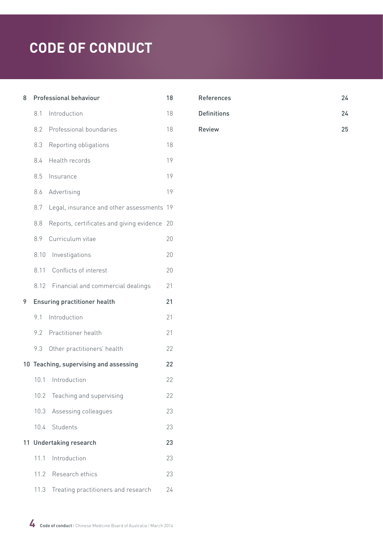| 8  |      | Professional behaviour                    | 18 |
|----|------|-------------------------------------------|----|
|    | 8.1  | Introduction                              | 18 |
|    | 8.2  | Professional boundaries                   | 18 |
|    | 8.3  | Reporting obligations                     | 18 |
|    | 8.4  | Health records                            | 19 |
|    | 8.5  | Insurance                                 | 19 |
|    | 8.6  | Advertising                               | 19 |
|    | 8.7  | Legal, insurance and other assessments    | 19 |
|    | 8.8  | Reports, certificates and giving evidence | 20 |
|    | 8.9  | Curriculum vitae                          | 20 |
|    | 8.10 | Investigations                            | 20 |
|    | 8.11 | Conflicts of interest                     | 20 |
|    | 8.12 | Financial and commercial dealings         | 21 |
|    |      |                                           |    |
|    |      | <b>Ensuring practitioner health</b>       | 21 |
| 9  | 9.1  | Introduction                              | 21 |
|    | 9.2  | Practitioner health                       | 21 |
|    | 9.3  | Other practitioners' health               | 22 |
|    |      | 10 Teaching, supervising and assessing    | 22 |
|    | 10.1 | Introduction                              | 22 |
|    | 10.2 | Teaching and supervising                  | 22 |
|    | 10.3 | Assessing colleagues                      | 23 |
|    | 10.4 | Students                                  | 23 |
| 11 |      | <b>Undertaking research</b>               | 23 |
|    | 11.1 | Introduction                              | 23 |
|    |      | 11.2 Research ethics                      | 23 |

| <b>References</b>  | 24 |
|--------------------|----|
| <b>Definitions</b> | 24 |
| <b>Review</b>      | 25 |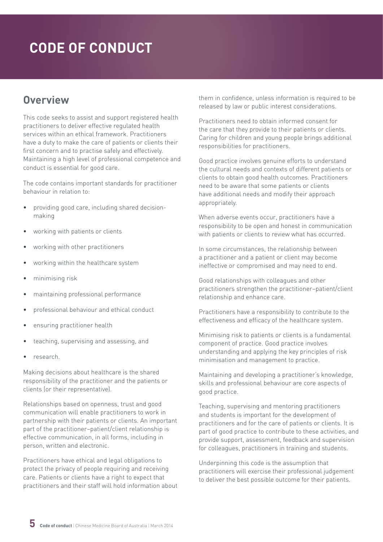### <span id="page-4-0"></span>**Overview**

This code seeks to assist and support registered health practitioners to deliver effective regulated health services within an ethical framework. Practitioners have a duty to make the care of patients or clients their first concern and to practise safely and effectively. Maintaining a high level of professional competence and conduct is essential for good care.

The code contains important standards for practitioner behaviour in relation to:

- providing good care, including shared decisionmaking
- working with patients or clients
- working with other practitioners
- working within the healthcare system
- minimising risk
- maintaining professional performance
- professional behaviour and ethical conduct
- ensuring practitioner health
- teaching, supervising and assessing, and
- research.

Making decisions about healthcare is the shared responsibility of the practitioner and the patients or clients (or their representative).

Relationships based on openness, trust and good communication will enable practitioners to work in partnership with their patients or clients. An important part of the practitioner–patient/client relationship is effective communication, in all forms, including in person, written and electronic.

Practitioners have ethical and legal obligations to protect the privacy of people requiring and receiving care. Patients or clients have a right to expect that practitioners and their staff will hold information about

them in confidence, unless information is required to be released by law or public interest considerations.

Practitioners need to obtain informed consent for the care that they provide to their patients or clients. Caring for children and young people brings additional responsibilities for practitioners.

Good practice involves genuine efforts to understand the cultural needs and contexts of different patients or clients to obtain good health outcomes. Practitioners need to be aware that some patients or clients have additional needs and modify their approach appropriately.

When adverse events occur, practitioners have a responsibility to be open and honest in communication with patients or clients to review what has occurred.

In some circumstances, the relationship between a practitioner and a patient or client may become ineffective or compromised and may need to end.

Good relationships with colleagues and other practitioners strengthen the practitioner–patient/client relationship and enhance care.

Practitioners have a responsibility to contribute to the effectiveness and efficacy of the healthcare system.

Minimising risk to patients or clients is a fundamental component of practice. Good practice involves understanding and applying the key principles of risk minimisation and management to practice.

Maintaining and developing a practitioner's knowledge, skills and professional behaviour are core aspects of good practice.

Teaching, supervising and mentoring practitioners and students is important for the development of practitioners and for the care of patients or clients. It is part of good practice to contribute to these activities, and provide support, assessment, feedback and supervision for colleagues, practitioners in training and students.

Underpinning this code is the assumption that practitioners will exercise their professional judgement to deliver the best possible outcome for their patients.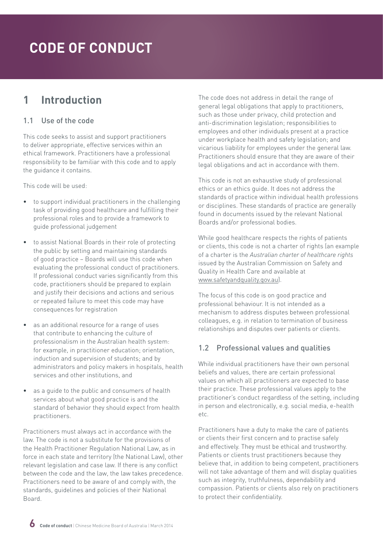### <span id="page-5-0"></span>**1 Introduction**

#### 1.1 Use of the code

This code seeks to assist and support practitioners to deliver appropriate, effective services within an ethical framework. Practitioners have a professional responsibility to be familiar with this code and to apply the guidance it contains.

This code will be used:

- to support individual practitioners in the challenging task of providing good healthcare and fulfilling their professional roles and to provide a framework to guide professional judgement
- to assist National Boards in their role of protecting the public by setting and maintaining standards of good practice – Boards will use this code when evaluating the professional conduct of practitioners. If professional conduct varies significantly from this code, practitioners should be prepared to explain and justify their decisions and actions and serious or repeated failure to meet this code may have consequences for registration
- as an additional resource for a range of uses that contribute to enhancing the culture of professionalism in the Australian health system: for example, in practitioner education; orientation, induction and supervision of students; and by administrators and policy makers in hospitals, health services and other institutions, and
- as a quide to the public and consumers of health services about what good practice is and the standard of behavior they should expect from health practitioners.

Practitioners must always act in accordance with the law. The code is not a substitute for the provisions of the Health Practitioner Regulation National Law, as in force in each state and territory (the National Law), other relevant legislation and case law. If there is any conflict between the code and the law, the law takes precedence. Practitioners need to be aware of and comply with, the standards, guidelines and policies of their National Board.

The code does not address in detail the range of general legal obligations that apply to practitioners, such as those under privacy, child protection and anti-discrimination legislation; responsibilities to employees and other individuals present at a practice under workplace health and safety legislation; and vicarious liability for employees under the general law. Practitioners should ensure that they are aware of their legal obligations and act in accordance with them.

This code is not an exhaustive study of professional ethics or an ethics guide. It does not address the standards of practice within individual health professions or disciplines. These standards of practice are generally found in documents issued by the relevant National Boards and/or professional bodies.

While good healthcare respects the rights of patients or clients, this code is not a charter of rights (an example of a charter is the *Australian charter of healthcare rights* issued by the Australian Commission on Safety and Quality in Health Care and available at [www.safetyandquality.gov.au\)](http://www.safetyandquality.gov.au).

The focus of this code is on good practice and professional behaviour. It is not intended as a mechanism to address disputes between professional colleagues, e.g. in relation to termination of business relationships and disputes over patients or clients.

#### 1.2 Professional values and qualities

While individual practitioners have their own personal beliefs and values, there are certain professional values on which all practitioners are expected to base their practice. These professional values apply to the practitioner's conduct regardless of the setting, including in person and electronically, e.g. social media, e-health etc.

Practitioners have a duty to make the care of patients or clients their first concern and to practise safely and effectively. They must be ethical and trustworthy. Patients or clients trust practitioners because they believe that, in addition to being competent, practitioners will not take advantage of them and will display qualities such as integrity, truthfulness, dependability and compassion. Patients or clients also rely on practitioners to protect their confidentiality.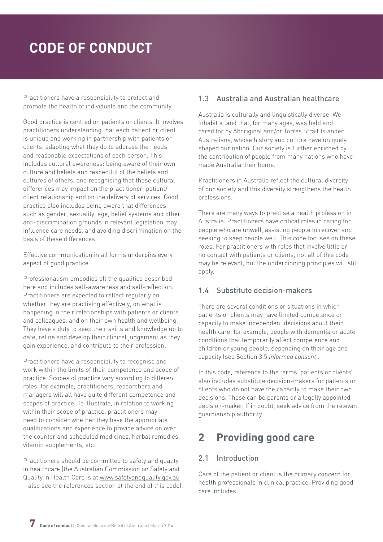<span id="page-6-0"></span>Practitioners have a responsibility to protect and promote the health of individuals and the community.

Good practice is centred on patients or clients. It involves practitioners understanding that each patient or client is unique and working in partnership with patients or clients, adapting what they do to address the needs and reasonable expectations of each person. This includes cultural awareness: being aware of their own culture and beliefs and respectful of the beliefs and cultures of others, and recognising that these cultural differences may impact on the practitioner–patient/ client relationship and on the delivery of services. Good practice also includes being aware that differences such as gender, sexuality, age, belief systems and other anti-discrimination grounds in relevant legislation may influence care needs, and avoiding discrimination on the basis of these differences.

Effective communication in all forms underpins every aspect of good practice.

Professionalism embodies all the qualities described here and includes self-awareness and self-reflection. Practitioners are expected to reflect regularly on whether they are practising effectively, on what is happening in their relationships with patients or clients and colleagues, and on their own health and wellbeing. They have a duty to keep their skills and knowledge up to date, refine and develop their clinical judgement as they gain experience, and contribute to their profession.

Practitioners have a responsibility to recognise and work within the limits of their competence and scope of practice. Scopes of practice vary according to different roles; for example, practitioners, researchers and managers will all have quite different competence and scopes of practice. To illustrate, in relation to working within their scope of practice, practitioners may need to consider whether they have the appropriate qualifications and experience to provide advice on over the counter and scheduled medicines, herbal remedies, vitamin supplements, etc.

Practitioners should be committed to safety and quality in healthcare (the Australian Commission on Safety and Quality in Health Care is at [www.safetyandquality.gov.au](http://www.safetyandquality.gov.au) – also see the references section at the end of this code).

#### 1.3 Australia and Australian healthcare

Australia is culturally and linguistically diverse. We inhabit a land that, for many ages, was held and cared for by Aboriginal and/or Torres Strait Islander Australians, whose history and culture have uniquely shaped our nation. Our society is further enriched by the contribution of people from many nations who have made Australia their home.

Practitioners in Australia reflect the cultural diversity of our society and this diversity strengthens the health professions.

There are many ways to practise a health profession in Australia. Practitioners have critical roles in caring for people who are unwell, assisting people to recover and seeking to keep people well. This code focuses on these roles. For practitioners with roles that involve little or no contact with patients or clients, not all of this code may be relevant, but the underpinning principles will still apply.

#### 1.4 Substitute decision-makers

There are several conditions or situations in which patients or clients may have limited competence or capacity to make independent decisions about their health care; for example, people with dementia or acute conditions that temporarily affect competence and children or young people, depending on their age and capacity (see Section 3.5 *Informed consent*).

In this code, reference to the terms 'patients or clients' also includes substitute decision-makers for patients or clients who do not have the capacity to make their own decisions. These can be parents or a legally appointed decision-maker. If in doubt, seek advice from the relevant guardianship authority.

### **2 Providing good care**

#### 2.1 Introduction

Care of the patient or client is the primary concern for health professionals in clinical practice. Providing good care includes: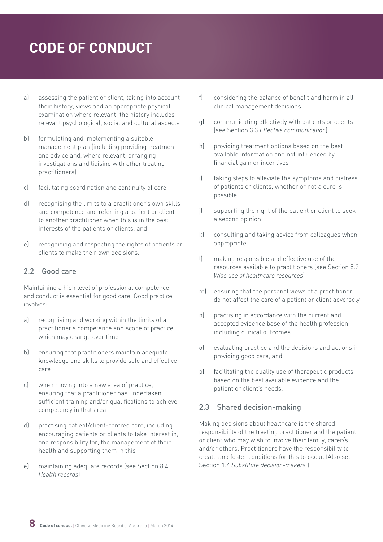- <span id="page-7-0"></span>a) assessing the patient or client, taking into account their history, views and an appropriate physical examination where relevant; the history includes relevant psychological, social and cultural aspects
- b) formulating and implementing a suitable management plan (including providing treatment and advice and, where relevant, arranging investigations and liaising with other treating practitioners)
- c) facilitating coordination and continuity of care
- d) recognising the limits to a practitioner's own skills and competence and referring a patient or client to another practitioner when this is in the best interests of the patients or clients, and
- e) recognising and respecting the rights of patients or clients to make their own decisions.

#### 2.2 Good care

Maintaining a high level of professional competence and conduct is essential for good care. Good practice involves:

- a) recognising and working within the limits of a practitioner's competence and scope of practice, which may change over time
- b) ensuring that practitioners maintain adequate knowledge and skills to provide safe and effective care
- c) when moving into a new area of practice, ensuring that a practitioner has undertaken sufficient training and/or qualifications to achieve competency in that area
- d) practising patient/client-centred care, including encouraging patients or clients to take interest in, and responsibility for, the management of their health and supporting them in this
- e) maintaining adequate records (see Section 8.4 *Health records*)
- f) considering the balance of benefit and harm in all clinical management decisions
- g) communicating effectively with patients or clients (see Section 3.3 *Effective communication*)
- h) providing treatment options based on the best available information and not influenced by financial gain or incentives
- i) taking steps to alleviate the symptoms and distress of patients or clients, whether or not a cure is possible
- j) supporting the right of the patient or client to seek a second opinion
- k) consulting and taking advice from colleagues when appropriate
- l) making responsible and effective use of the resources available to practitioners (see Section 5.2 *Wise use of healthcare resources*)
- m) ensuring that the personal views of a practitioner do not affect the care of a patient or client adversely
- n) practising in accordance with the current and accepted evidence base of the health profession, including clinical outcomes
- o) evaluating practice and the decisions and actions in providing good care, and
- p) facilitating the quality use of therapeutic products based on the best available evidence and the patient or client's needs.

#### 2.3 Shared decision-making

Making decisions about healthcare is the shared responsibility of the treating practitioner and the patient or client who may wish to involve their family, carer/s and/or others. Practitioners have the responsibility to create and foster conditions for this to occur. (Also see Section 1.4 *Substitute decision-makers.*)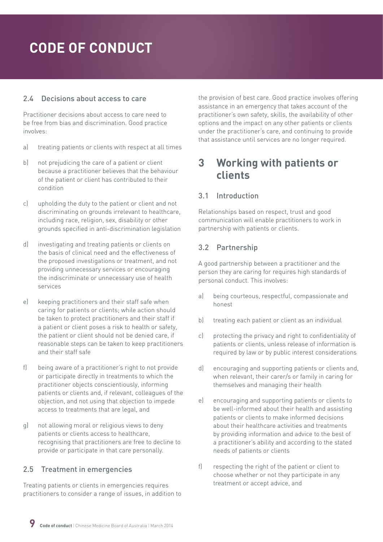#### <span id="page-8-0"></span>2.4 Decisions about access to care

Practitioner decisions about access to care need to be free from bias and discrimination. Good practice involves:

- a) treating patients or clients with respect at all times
- b) not prejudicing the care of a patient or client because a practitioner believes that the behaviour of the patient or client has contributed to their condition
- c) upholding the duty to the patient or client and not discriminating on grounds irrelevant to healthcare, including race, religion, sex, disability or other grounds specified in anti-discrimination legislation
- d) investigating and treating patients or clients on the basis of clinical need and the effectiveness of the proposed investigations or treatment, and not providing unnecessary services or encouraging the indiscriminate or unnecessary use of health services
- e) keeping practitioners and their staff safe when caring for patients or clients; while action should be taken to protect practitioners and their staff if a patient or client poses a risk to health or safety, the patient or client should not be denied care, if reasonable steps can be taken to keep practitioners and their staff safe
- f) being aware of a practitioner's right to not provide or participate directly in treatments to which the practitioner objects conscientiously, informing patients or clients and, if relevant, colleagues of the objection, and not using that objection to impede access to treatments that are legal, and
- g) not allowing moral or religious views to deny patients or clients access to healthcare, recognising that practitioners are free to decline to provide or participate in that care personally.

#### 2.5 Treatment in emergencies

Treating patients or clients in emergencies requires practitioners to consider a range of issues, in addition to the provision of best care. Good practice involves offering assistance in an emergency that takes account of the practitioner's own safety, skills, the availability of other options and the impact on any other patients or clients under the practitioner's care, and continuing to provide that assistance until services are no longer required.

### **3 Working with patients or clients**

#### 3.1 Introduction

Relationships based on respect, trust and good communication will enable practitioners to work in partnership with patients or clients.

#### 3.2 Partnership

A good partnership between a practitioner and the person they are caring for requires high standards of personal conduct. This involves:

- a) being courteous, respectful, compassionate and honest
- b) treating each patient or client as an individual
- c) protecting the privacy and right to confidentiality of patients or clients, unless release of information is required by law or by public interest considerations
- d) encouraging and supporting patients or clients and, when relevant, their carer/s or family in caring for themselves and managing their health
- e) encouraging and supporting patients or clients to be well-informed about their health and assisting patients or clients to make informed decisions about their healthcare activities and treatments by providing information and advice to the best of a practitioner's ability and according to the stated needs of patients or clients
- f) respecting the right of the patient or client to choose whether or not they participate in any treatment or accept advice, and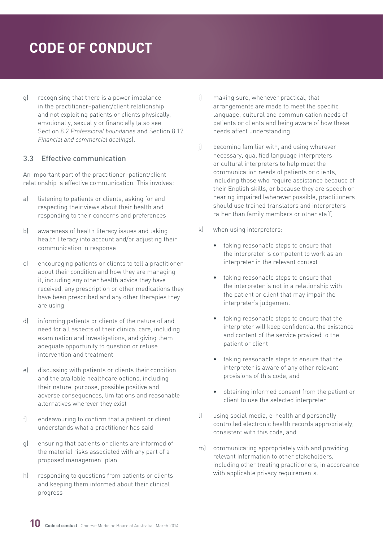<span id="page-9-0"></span>g) recognising that there is a power imbalance in the practitioner–patient/client relationship and not exploiting patients or clients physically, emotionally, sexually or financially (also see Section 8.2 *Professional boundaries* and Section 8.12 *Financial and commercial dealings*).

#### 3.3 Effective communication

An important part of the practitioner–patient/client relationship is effective communication. This involves:

- a) listening to patients or clients, asking for and respecting their views about their health and responding to their concerns and preferences
- b) awareness of health literacy issues and taking health literacy into account and/or adjusting their communication in response
- c) encouraging patients or clients to tell a practitioner about their condition and how they are managing it, including any other health advice they have received, any prescription or other medications they have been prescribed and any other therapies they are using
- d) informing patients or clients of the nature of and need for all aspects of their clinical care, including examination and investigations, and giving them adequate opportunity to question or refuse intervention and treatment
- e) discussing with patients or clients their condition and the available healthcare options, including their nature, purpose, possible positive and adverse consequences, limitations and reasonable alternatives wherever they exist
- f) endeavouring to confirm that a patient or client understands what a practitioner has said
- g) ensuring that patients or clients are informed of the material risks associated with any part of a proposed management plan
- h) responding to questions from patients or clients and keeping them informed about their clinical progress
- i) making sure, whenever practical, that arrangements are made to meet the specific language, cultural and communication needs of patients or clients and being aware of how these needs affect understanding
- j) becoming familiar with, and using wherever necessary, qualified language interpreters or cultural interpreters to help meet the communication needs of patients or clients, including those who require assistance because of their English skills, or because they are speech or hearing impaired (wherever possible, practitioners should use trained translators and interpreters rather than family members or other staff)
- k) when using interpreters:
	- taking reasonable steps to ensure that the interpreter is competent to work as an interpreter in the relevant context
	- taking reasonable steps to ensure that the interpreter is not in a relationship with the patient or client that may impair the interpreter's judgement
	- taking reasonable steps to ensure that the interpreter will keep confidential the existence and content of the service provided to the patient or client
	- taking reasonable steps to ensure that the interpreter is aware of any other relevant provisions of this code, and
	- obtaining informed consent from the patient or client to use the selected interpreter
- l) using social media, e-health and personally controlled electronic health records appropriately, consistent with this code, and
- m) communicating appropriately with and providing relevant information to other stakeholders, including other treating practitioners, in accordance with applicable privacy requirements.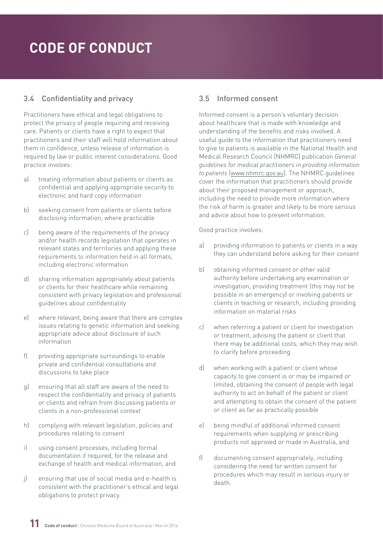#### <span id="page-10-0"></span>3.4 Confidentiality and privacy

Practitioners have ethical and legal obligations to protect the privacy of people requiring and receiving care. Patients or clients have a right to expect that practitioners and their staff will hold information about them in confidence, unless release of information is required by law or public interest considerations. Good practice involves:

- a) treating information about patients or clients as confidential and applying appropriate security to electronic and hard copy information
- b) seeking consent from patients or clients before disclosing information, where practicable
- c) being aware of the requirements of the privacy and/or health records legislation that operates in relevant states and territories and applying these requirements to information held in all formats, including electronic information
- d) sharing information appropriately about patients or clients for their healthcare while remaining consistent with privacy legislation and professional guidelines about confidentiality
- e) where relevant, being aware that there are complex issues relating to genetic information and seeking appropriate advice about disclosure of such information
- f) providing appropriate surroundings to enable private and confidential consultations and discussions to take place
- g) ensuring that all staff are aware of the need to respect the confidentiality and privacy of patients or clients and refrain from discussing patients or clients in a non-professional context
- h) complying with relevant legislation, policies and procedures relating to consent
- i) using consent processes, including formal documentation if required, for the release and exchange of health and medical information, and
- j) ensuring that use of social media and e-health is consistent with the practitioner's ethical and legal obligations to protect privacy.

#### 3.5 Informed consent

Informed consent is a person's voluntary decision about healthcare that is made with knowledge and understanding of the benefits and risks involved. A useful guide to the information that practitioners need to give to patients is available in the National Health and Medical Research Council (NHMRC) publication *General guidelines for medical practitioners in providing information to patients* ([www.nhmrc.gov.au](file:///C:\Users\helen\AppData\Local\Microsoft\Windows\Temporary Internet Files\Content.Outlook\LLROZHLU\Early and multiple versions\www.nhmrc.gov.au)). The NHMRC guidelines cover the information that practitioners should provide about their proposed management or approach, including the need to provide more information where the risk of harm is greater and likely to be more serious and advice about how to present information.

- a) providing information to patients or clients in a way they can understand before asking for their consent
- b) obtaining informed consent or other valid authority before undertaking any examination or investigation, providing treatment (this may not be possible in an emergency) or involving patients or clients in teaching or research, including providing information on material risks
- c) when referring a patient or client for investigation or treatment, advising the patient or client that there may be additional costs, which they may wish to clarify before proceeding
- d) when working with a patient or client whose capacity to give consent is or may be impaired or limited, obtaining the consent of people with legal authority to act on behalf of the patient or client and attempting to obtain the consent of the patient or client as far as practically possible
- e) being mindful of additional informed consent requirements when supplying or prescribing products not approved or made in Australia, and
- f) documenting consent appropriately, including considering the need for written consent for procedures which may result in serious injury or death.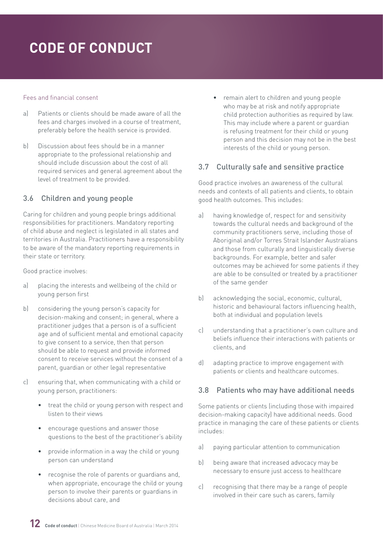#### <span id="page-11-0"></span>Fees and financial consent

- a) Patients or clients should be made aware of all the fees and charges involved in a course of treatment, preferably before the health service is provided.
- b) Discussion about fees should be in a manner appropriate to the professional relationship and should include discussion about the cost of all required services and general agreement about the level of treatment to be provided.

#### 3.6 Children and young people

Caring for children and young people brings additional responsibilities for practitioners. Mandatory reporting of child abuse and neglect is legislated in all states and territories in Australia. Practitioners have a responsibility to be aware of the mandatory reporting requirements in their state or territory.

Good practice involves:

- a) placing the interests and wellbeing of the child or young person first
- b) considering the young person's capacity for decision-making and consent; in general, where a practitioner judges that a person is of a sufficient age and of sufficient mental and emotional capacity to give consent to a service, then that person should be able to request and provide informed consent to receive services without the consent of a parent, guardian or other legal representative
- c) ensuring that, when communicating with a child or young person, practitioners:
	- treat the child or young person with respect and listen to their views
	- encourage questions and answer those questions to the best of the practitioner's ability
	- provide information in a way the child or young person can understand
	- recognise the role of parents or guardians and, when appropriate, encourage the child or young person to involve their parents or guardians in decisions about care, and

• remain alert to children and young people who may be at risk and notify appropriate child protection authorities as required by law. This may include where a parent or guardian is refusing treatment for their child or young person and this decision may not be in the best interests of the child or young person.

#### 3.7 Culturally safe and sensitive practice

Good practice involves an awareness of the cultural needs and contexts of all patients and clients, to obtain good health outcomes. This includes:

- a) having knowledge of, respect for and sensitivity towards the cultural needs and background of the community practitioners serve, including those of Aboriginal and/or Torres Strait Islander Australians and those from culturally and linguistically diverse backgrounds. For example, better and safer outcomes may be achieved for some patients if they are able to be consulted or treated by a practitioner of the same gender
- b) acknowledging the social, economic, cultural, historic and behavioural factors influencing health, both at individual and population levels
- c) understanding that a practitioner's own culture and beliefs influence their interactions with patients or clients, and
- d) adapting practice to improve engagement with patients or clients and healthcare outcomes.

#### 3.8 Patients who may have additional needs

Some patients or clients (including those with impaired decision-making capacity) have additional needs. Good practice in managing the care of these patients or clients includes:

- a) paying particular attention to communication
- b) being aware that increased advocacy may be necessary to ensure just access to healthcare
- c) recognising that there may be a range of people involved in their care such as carers, family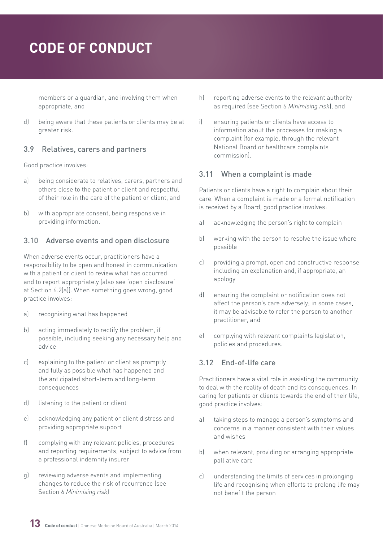<span id="page-12-0"></span>members or a guardian, and involving them when appropriate, and

d) being aware that these patients or clients may be at greater risk.

#### 3.9 Relatives, carers and partners

Good practice involves:

- a) being considerate to relatives, carers, partners and others close to the patient or client and respectful of their role in the care of the patient or client, and
- b) with appropriate consent, being responsive in providing information.

#### 3.10 Adverse events and open disclosure

When adverse events occur, practitioners have a responsibility to be open and honest in communication with a patient or client to review what has occurred and to report appropriately (also see 'open disclosure' at Section 6.2(a)). When something goes wrong, good practice involves:

- a) recognising what has happened
- b) acting immediately to rectify the problem, if possible, including seeking any necessary help and advice
- c) explaining to the patient or client as promptly and fully as possible what has happened and the anticipated short-term and long-term consequences
- d) listening to the patient or client
- e) acknowledging any patient or client distress and providing appropriate support
- f) complying with any relevant policies, procedures and reporting requirements, subject to advice from a professional indemnity insurer
- g) reviewing adverse events and implementing changes to reduce the risk of recurrence (see Section 6 *Minimising risk*)
- h) reporting adverse events to the relevant authority as required (see Section 6 *Minimising risk*), and
- i) ensuring patients or clients have access to information about the processes for making a complaint (for example, through the relevant National Board or healthcare complaints commission).

#### 3.11 When a complaint is made

Patients or clients have a right to complain about their care. When a complaint is made or a formal notification is received by a Board, good practice involves:

- a) acknowledging the person's right to complain
- b) working with the person to resolve the issue where possible
- c) providing a prompt, open and constructive response including an explanation and, if appropriate, an apology
- d) ensuring the complaint or notification does not affect the person's care adversely; in some cases, it may be advisable to refer the person to another practitioner, and
- e) complying with relevant complaints legislation, policies and procedures.

#### 3.12 End-of-life care

Practitioners have a vital role in assisting the community to deal with the reality of death and its consequences. In caring for patients or clients towards the end of their life, good practice involves:

- a) taking steps to manage a person's symptoms and concerns in a manner consistent with their values and wishes
- b) when relevant, providing or arranging appropriate palliative care
- c) understanding the limits of services in prolonging life and recognising when efforts to prolong life may not benefit the person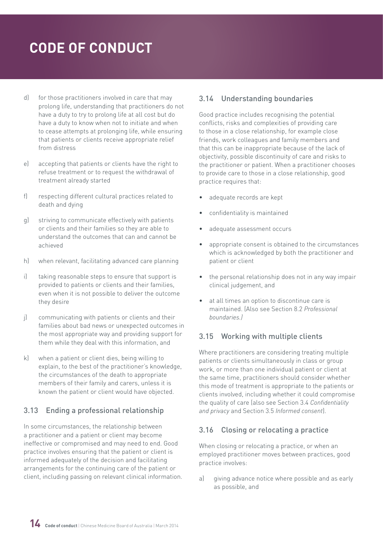- <span id="page-13-0"></span>d) for those practitioners involved in care that may prolong life, understanding that practitioners do not have a duty to try to prolong life at all cost but do have a duty to know when not to initiate and when to cease attempts at prolonging life, while ensuring that patients or clients receive appropriate relief from distress
- e) accepting that patients or clients have the right to refuse treatment or to request the withdrawal of treatment already started
- f) respecting different cultural practices related to death and dying
- g) striving to communicate effectively with patients or clients and their families so they are able to understand the outcomes that can and cannot be achieved
- h) when relevant, facilitating advanced care planning
- i) taking reasonable steps to ensure that support is provided to patients or clients and their families, even when it is not possible to deliver the outcome they desire
- j) communicating with patients or clients and their families about bad news or unexpected outcomes in the most appropriate way and providing support for them while they deal with this information, and
- k) when a patient or client dies, being willing to explain, to the best of the practitioner's knowledge, the circumstances of the death to appropriate members of their family and carers, unless it is known the patient or client would have objected.

#### 3.13 Ending a professional relationship

In some circumstances, the relationship between a practitioner and a patient or client may become ineffective or compromised and may need to end. Good practice involves ensuring that the patient or client is informed adequately of the decision and facilitating arrangements for the continuing care of the patient or client, including passing on relevant clinical information.

#### 3.14 Understanding boundaries

Good practice includes recognising the potential conflicts, risks and complexities of providing care to those in a close relationship, for example close friends, work colleagues and family members and that this can be inappropriate because of the lack of objectivity, possible discontinuity of care and risks to the practitioner or patient. When a practitioner chooses to provide care to those in a close relationship, good practice requires that:

- adequate records are kept
- confidentiality is maintained
- adequate assessment occurs
- appropriate consent is obtained to the circumstances which is acknowledged by both the practitioner and patient or client
- the personal relationship does not in any way impair clinical judgement, and
- at all times an option to discontinue care is maintained. (Also see Section 8.2 *Professional boundaries.)*

#### 3.15 Working with multiple clients

Where practitioners are considering treating multiple patients or clients simultaneously in class or group work, or more than one individual patient or client at the same time, practitioners should consider whether this mode of treatment is appropriate to the patients or clients involved, including whether it could compromise the quality of care (also see Section 3.4 *Confidentiality and privacy* and Section 3.5 *Informed consent*).

#### 3.16 Closing or relocating a practice

When closing or relocating a practice, or when an employed practitioner moves between practices, good practice involves:

a) giving advance notice where possible and as early as possible, and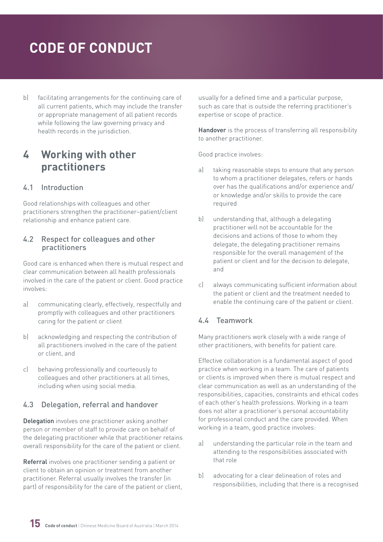<span id="page-14-0"></span>b) facilitating arrangements for the continuing care of all current patients, which may include the transfer or appropriate management of all patient records while following the law governing privacy and health records in the jurisdiction.

### **4 Working with other practitioners**

#### 4.1 Introduction

Good relationships with colleagues and other practitioners strengthen the practitioner–patient/client relationship and enhance patient care.

#### 4.2 Respect for colleagues and other practitioners

Good care is enhanced when there is mutual respect and clear communication between all health professionals involved in the care of the patient or client. Good practice involves:

- a) communicating clearly, effectively, respectfully and promptly with colleagues and other practitioners caring for the patient or client
- b) acknowledging and respecting the contribution of all practitioners involved in the care of the patient or client, and
- c) behaving professionally and courteously to colleagues and other practitioners at all times, including when using social media.

#### 4.3 Delegation, referral and handover

Delegation involves one practitioner asking another person or member of staff to provide care on behalf of the delegating practitioner while that practitioner retains overall responsibility for the care of the patient or client.

Referral involves one practitioner sending a patient or client to obtain an opinion or treatment from another practitioner. Referral usually involves the transfer (in part) of responsibility for the care of the patient or client, usually for a defined time and a particular purpose, such as care that is outside the referring practitioner's expertise or scope of practice.

Handover is the process of transferring all responsibility to another practitioner.

Good practice involves:

- a) taking reasonable steps to ensure that any person to whom a practitioner delegates, refers or hands over has the qualifications and/or experience and/ or knowledge and/or skills to provide the care required
- b) understanding that, although a delegating practitioner will not be accountable for the decisions and actions of those to whom they delegate, the delegating practitioner remains responsible for the overall management of the patient or client and for the decision to delegate, and
- c) always communicating sufficient information about the patient or client and the treatment needed to enable the continuing care of the patient or client.

#### 4.4 Teamwork

Many practitioners work closely with a wide range of other practitioners, with benefits for patient care.

Effective collaboration is a fundamental aspect of good practice when working in a team. The care of patients or clients is improved when there is mutual respect and clear communication as well as an understanding of the responsibilities, capacities, constraints and ethical codes of each other's health professions. Working in a team does not alter a practitioner's personal accountability for professional conduct and the care provided. When working in a team, good practice involves:

- a) understanding the particular role in the team and attending to the responsibilities associated with that role
- b) advocating for a clear delineation of roles and responsibilities, including that there is a recognised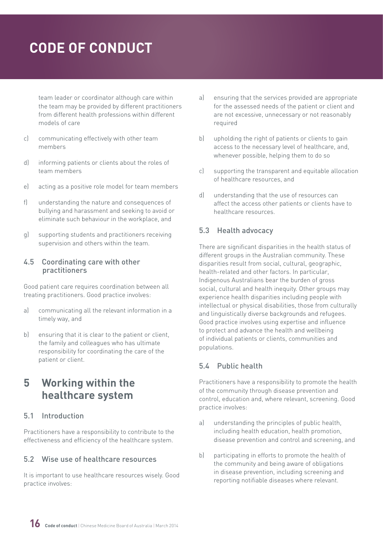<span id="page-15-0"></span>team leader or coordinator although care within the team may be provided by different practitioners from different health professions within different models of care

- c) communicating effectively with other team members
- d) informing patients or clients about the roles of team members
- e) acting as a positive role model for team members
- f) understanding the nature and consequences of bullying and harassment and seeking to avoid or eliminate such behaviour in the workplace, and
- g) supporting students and practitioners receiving supervision and others within the team.

#### 4.5 Coordinating care with other practitioners

Good patient care requires coordination between all treating practitioners. Good practice involves:

- a) communicating all the relevant information in a timely way, and
- b) ensuring that it is clear to the patient or client, the family and colleagues who has ultimate responsibility for coordinating the care of the patient or client.

### **5 Working within the healthcare system**

#### 5.1 Introduction

Practitioners have a responsibility to contribute to the effectiveness and efficiency of the healthcare system.

#### 5.2 Wise use of healthcare resources

It is important to use healthcare resources wisely. Good practice involves:

- a) ensuring that the services provided are appropriate for the assessed needs of the patient or client and are not excessive, unnecessary or not reasonably required
- b) upholding the right of patients or clients to gain access to the necessary level of healthcare, and, whenever possible, helping them to do so
- c) supporting the transparent and equitable allocation of healthcare resources, and
- d) understanding that the use of resources can affect the access other patients or clients have to healthcare resources.

#### 5.3 Health advocacy

There are significant disparities in the health status of different groups in the Australian community. These disparities result from social, cultural, geographic, health-related and other factors. In particular, Indigenous Australians bear the burden of gross social, cultural and health inequity. Other groups may experience health disparities including people with intellectual or physical disabilities, those from culturally and linguistically diverse backgrounds and refugees. Good practice involves using expertise and influence to protect and advance the health and wellbeing of individual patients or clients, communities and populations.

#### 5.4 Public health

Practitioners have a responsibility to promote the health of the community through disease prevention and control, education and, where relevant, screening. Good practice involves:

- a) understanding the principles of public health, including health education, health promotion, disease prevention and control and screening, and
- b) participating in efforts to promote the health of the community and being aware of obligations in disease prevention, including screening and reporting notifiable diseases where relevant.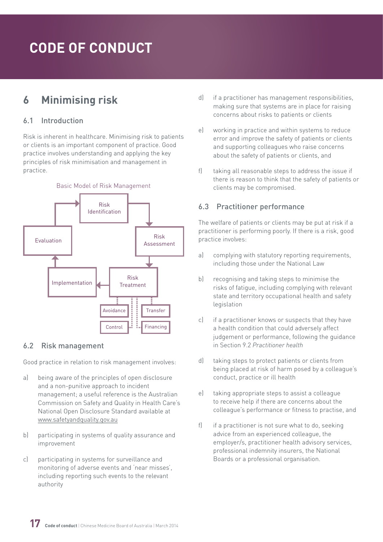### <span id="page-16-0"></span>**6 Minimising risk**

#### 6.1 Introduction

Risk is inherent in healthcare. Minimising risk to patients or clients is an important component of practice. Good practice involves understanding and applying the key principles of risk minimisation and management in practice.



#### 6.2 Risk management

Good practice in relation to risk management involves:

- a) being aware of the principles of open disclosure and a non-punitive approach to incident management; a useful reference is the Australian Commission on Safety and Quality in Health Care's National Open Disclosure Standard available at [www.safetyandquality.gov.au](file:///C:\Users\helen\AppData\Local\Microsoft\Windows\Temporary Internet Files\Content.Outlook\LLROZHLU\Early and multiple versions\www.safetyandquality.gov.au)
- b) participating in systems of quality assurance and improvement
- c) participating in systems for surveillance and monitoring of adverse events and 'near misses', including reporting such events to the relevant authority
- d) if a practitioner has management responsibilities, making sure that systems are in place for raising concerns about risks to patients or clients
- e) working in practice and within systems to reduce error and improve the safety of patients or clients and supporting colleagues who raise concerns about the safety of patients or clients, and
- f) taking all reasonable steps to address the issue if there is reason to think that the safety of patients or clients may be compromised.

#### 6.3 Practitioner performance

The welfare of patients or clients may be put at risk if a practitioner is performing poorly. If there is a risk, good practice involves:

- a) complying with statutory reporting requirements, including those under the National Law
- b) recognising and taking steps to minimise the risks of fatigue, including complying with relevant state and territory occupational health and safety legislation
- c) if a practitioner knows or suspects that they have a health condition that could adversely affect judgement or performance, following the guidance in Section 9.2 *Practitioner health*
- d) taking steps to protect patients or clients from being placed at risk of harm posed by a colleague's conduct, practice or ill health
- e) taking appropriate steps to assist a colleague to receive help if there are concerns about the colleague's performance or fitness to practise, and
- f) if a practitioner is not sure what to do, seeking advice from an experienced colleague, the employer/s, practitioner health advisory services, professional indemnity insurers, the National Boards or a professional organisation.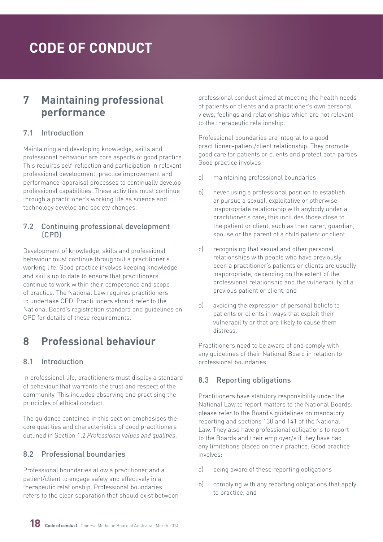### <span id="page-17-0"></span>**7 Maintaining professional performance**

#### 7.1 Introduction

Maintaining and developing knowledge, skills and professional behaviour are core aspects of good practice. This requires self-reflection and participation in relevant professional development, practice improvement and performance-appraisal processes to continually develop professional capabilities. These activities must continue through a practitioner's working life as science and technology develop and society changes.

#### 7.2 Continuing professional development (CPD)

Development of knowledge, skills and professional behaviour must continue throughout a practitioner's working life. Good practice involves keeping knowledge and skills up to date to ensure that practitioners continue to work within their competence and scope of practice. The National Law requires practitioners to undertake CPD. Practitioners should refer to the National Board's registration standard and guidelines on CPD for details of these requirements.

### **8 Professional behaviour**

#### 8.1 Introduction

In professional life, practitioners must display a standard of behaviour that warrants the trust and respect of the community. This includes observing and practising the principles of ethical conduct.

The guidance contained in this section emphasises the core qualities and characteristics of good practitioners outlined in Section 1.2 *Professional values and qualities*.

#### 8.2 Professional boundaries

Professional boundaries allow a practitioner and a patient/client to engage safely and effectively in a therapeutic relationship. Professional boundaries refers to the clear separation that should exist between professional conduct aimed at meeting the health needs of patients or clients and a practitioner's own personal views, feelings and relationships which are not relevant to the therapeutic relationship.

Professional boundaries are integral to a good practitioner–patient/client relationship. They promote good care for patients or clients and protect both parties. Good practice involves:

- a) maintaining professional boundaries
- b) never using a professional position to establish or pursue a sexual, exploitative or otherwise inappropriate relationship with anybody under a practitioner's care; this includes those close to the patient or client, such as their carer, guardian, spouse or the parent of a child patient or client
- c) recognising that sexual and other personal relationships with people who have previously been a practitioner's patients or clients are usually inappropriate, depending on the extent of the professional relationship and the vulnerability of a previous patient or client, and
- d) avoiding the expression of personal beliefs to patients or clients in ways that exploit their vulnerability or that are likely to cause them distress.

Practitioners need to be aware of and comply with any guidelines of their National Board in relation to professional boundaries.

#### 8.3 Reporting obligations

Practitioners have statutory responsibility under the National Law to report matters to the National Boards: please refer to the Board's guidelines on mandatory reporting and sections 130 and 141 of the National Law. They also have professional obligations to report to the Boards and their employer/s if they have had any limitations placed on their practice. Good practice involves:

- a) being aware of these reporting obligations
- b) complying with any reporting obligations that apply to practice, and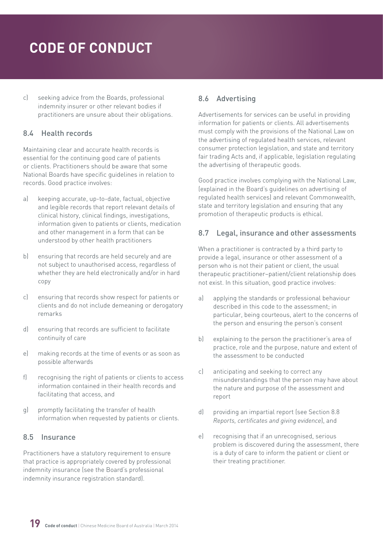<span id="page-18-0"></span>c) seeking advice from the Boards, professional indemnity insurer or other relevant bodies if practitioners are unsure about their obligations.

#### 8.4 Health records

Maintaining clear and accurate health records is essential for the continuing good care of patients or clients. Practitioners should be aware that some National Boards have specific guidelines in relation to records. Good practice involves:

- a) keeping accurate, up-to-date, factual, objective and legible records that report relevant details of clinical history, clinical findings, investigations, information given to patients or clients, medication and other management in a form that can be understood by other health practitioners
- b) ensuring that records are held securely and are not subject to unauthorised access, regardless of whether they are held electronically and/or in hard copy
- c) ensuring that records show respect for patients or clients and do not include demeaning or derogatory remarks
- d) ensuring that records are sufficient to facilitate continuity of care
- e) making records at the time of events or as soon as possible afterwards
- f) recognising the right of patients or clients to access information contained in their health records and facilitating that access, and
- g) promptly facilitating the transfer of health information when requested by patients or clients.

#### 8.5 Insurance

Practitioners have a statutory requirement to ensure that practice is appropriately covered by professional indemnity insurance (see the Board's professional indemnity insurance registration standard).

#### 8.6 Advertising

Advertisements for services can be useful in providing information for patients or clients. All advertisements must comply with the provisions of the National Law on the advertising of regulated health services, relevant consumer protection legislation, and state and territory fair trading Acts and, if applicable, legislation regulating the advertising of therapeutic goods.

Good practice involves complying with the National Law, (explained in the Board's guidelines on advertising of regulated health services) and relevant Commonwealth, state and territory legislation and ensuring that any promotion of therapeutic products is ethical.

#### 8.7 Legal, insurance and other assessments

When a practitioner is contracted by a third party to provide a legal, insurance or other assessment of a person who is not their patient or client, the usual therapeutic practitioner–patient/client relationship does not exist. In this situation, good practice involves:

- a) applying the standards or professional behaviour described in this code to the assessment; in particular, being courteous, alert to the concerns of the person and ensuring the person's consent
- b) explaining to the person the practitioner's area of practice, role and the purpose, nature and extent of the assessment to be conducted
- c) anticipating and seeking to correct any misunderstandings that the person may have about the nature and purpose of the assessment and report
- d) providing an impartial report (see Section 8.8 *Reports, certificates and giving evidence*), and
- e) recognising that if an unrecognised, serious problem is discovered during the assessment, there is a duty of care to inform the patient or client or their treating practitioner.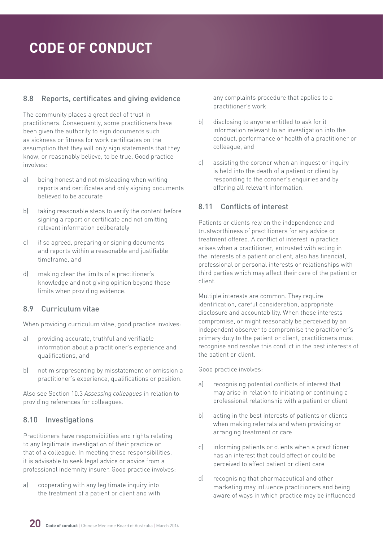#### <span id="page-19-0"></span>8.8 Reports, certificates and giving evidence

The community places a great deal of trust in practitioners. Consequently, some practitioners have been given the authority to sign documents such as sickness or fitness for work certificates on the assumption that they will only sign statements that they know, or reasonably believe, to be true. Good practice involves:

- a) being honest and not misleading when writing reports and certificates and only signing documents believed to be accurate
- b) taking reasonable steps to verify the content before signing a report or certificate and not omitting relevant information deliberately
- c) if so agreed, preparing or signing documents and reports within a reasonable and justifiable timeframe, and
- d) making clear the limits of a practitioner's knowledge and not giving opinion beyond those limits when providing evidence.

#### 8.9 Curriculum vitae

When providing curriculum vitae, good practice involves:

- a) providing accurate, truthful and verifiable information about a practitioner's experience and qualifications, and
- b) not misrepresenting by misstatement or omission a practitioner's experience, qualifications or position.

Also see Section 10.3 *Assessing colleagues* in relation to providing references for colleagues.

#### 8.10 Investigations

Practitioners have responsibilities and rights relating to any legitimate investigation of their practice or that of a colleague. In meeting these responsibilities, it is advisable to seek legal advice or advice from a professional indemnity insurer. Good practice involves:

a) cooperating with any legitimate inquiry into the treatment of a patient or client and with any complaints procedure that applies to a practitioner's work

- b) disclosing to anyone entitled to ask for it information relevant to an investigation into the conduct, performance or health of a practitioner or colleague, and
- c) assisting the coroner when an inquest or inquiry is held into the death of a patient or client by responding to the coroner's enquiries and by offering all relevant information.

#### 8.11 Conflicts of interest

Patients or clients rely on the independence and trustworthiness of practitioners for any advice or treatment offered. A conflict of interest in practice arises when a practitioner, entrusted with acting in the interests of a patient or client, also has financial, professional or personal interests or relationships with third parties which may affect their care of the patient or client.

Multiple interests are common. They require identification, careful consideration, appropriate disclosure and accountability. When these interests compromise, or might reasonably be perceived by an independent observer to compromise the practitioner's primary duty to the patient or client, practitioners must recognise and resolve this conflict in the best interests of the patient or client.

- a) recognising potential conflicts of interest that may arise in relation to initiating or continuing a professional relationship with a patient or client
- b) acting in the best interests of patients or clients when making referrals and when providing or arranging treatment or care
- c) informing patients or clients when a practitioner has an interest that could affect or could be perceived to affect patient or client care
- d) recognising that pharmaceutical and other marketing may influence practitioners and being aware of ways in which practice may be influenced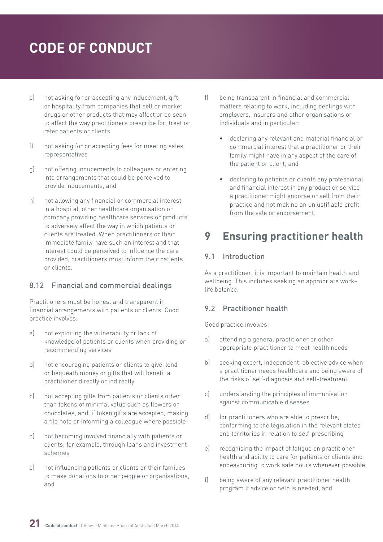- <span id="page-20-0"></span>e) not asking for or accepting any inducement, gift or hospitality from companies that sell or market drugs or other products that may affect or be seen to affect the way practitioners prescribe for, treat or refer patients or clients
- f) not asking for or accepting fees for meeting sales representatives
- g) not offering inducements to colleagues or entering into arrangements that could be perceived to provide inducements, and
- h) not allowing any financial or commercial interest in a hospital, other healthcare organisation or company providing healthcare services or products to adversely affect the way in which patients or clients are treated. When practitioners or their immediate family have such an interest and that interest could be perceived to influence the care provided, practitioners must inform their patients or clients.

#### 8.12 Financial and commercial dealings

Practitioners must be honest and transparent in financial arrangements with patients or clients. Good practice involves:

- a) not exploiting the vulnerability or lack of knowledge of patients or clients when providing or recommending services
- b) not encouraging patients or clients to give, lend or bequeath money or gifts that will benefit a practitioner directly or indirectly
- c) not accepting gifts from patients or clients other than tokens of minimal value such as flowers or chocolates, and, if token gifts are accepted, making a file note or informing a colleague where possible
- d) not becoming involved financially with patients or clients; for example, through loans and investment schemes
- e) not influencing patients or clients or their families to make donations to other people or organisations, and
- f) being transparent in financial and commercial matters relating to work, including dealings with employers, insurers and other organisations or individuals and in particular:
	- declaring any relevant and material financial or commercial interest that a practitioner or their family might have in any aspect of the care of the patient or client, and
	- declaring to patients or clients any professional and financial interest in any product or service a practitioner might endorse or sell from their practice and not making an unjustifiable profit from the sale or endorsement.

### **9 Ensuring practitioner health**

#### 9.1 Introduction

As a practitioner, it is important to maintain health and wellbeing. This includes seeking an appropriate work– life balance.

#### 9.2 Practitioner health

- a) attending a general practitioner or other appropriate practitioner to meet health needs
- b) seeking expert, independent, objective advice when a practitioner needs healthcare and being aware of the risks of self-diagnosis and self-treatment
- c) understanding the principles of immunisation against communicable diseases
- d) for practitioners who are able to prescribe, conforming to the legislation in the relevant states and territories in relation to self-prescribing
- e) recognising the impact of fatigue on practitioner health and ability to care for patients or clients and endeavouring to work safe hours whenever possible
- f) being aware of any relevant practitioner health program if advice or help is needed, and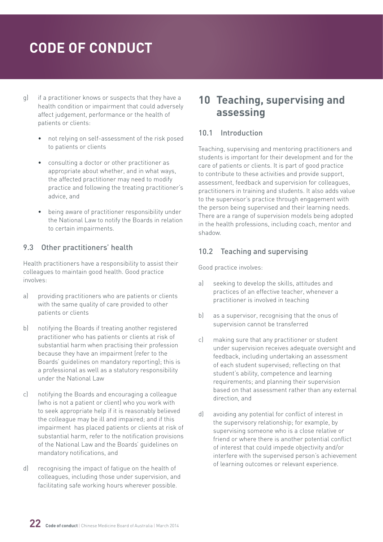- <span id="page-21-0"></span>g) if a practitioner knows or suspects that they have a health condition or impairment that could adversely affect judgement, performance or the health of patients or clients:
	- not relying on self-assessment of the risk posed to patients or clients
	- consulting a doctor or other practitioner as appropriate about whether, and in what ways, the affected practitioner may need to modify practice and following the treating practitioner's advice, and
	- being aware of practitioner responsibility under the National Law to notify the Boards in relation to certain impairments.

#### 9.3 Other practitioners' health

Health practitioners have a responsibility to assist their colleagues to maintain good health. Good practice involves:

- a) providing practitioners who are patients or clients with the same quality of care provided to other patients or clients
- b) notifying the Boards if treating another registered practitioner who has patients or clients at risk of substantial harm when practising their profession because they have an impairment (refer to the Boards' guidelines on mandatory reporting); this is a professional as well as a statutory responsibility under the National Law
- c) notifying the Boards and encouraging a colleague (who is not a patient or client) who you work with to seek appropriate help if it is reasonably believed the colleague may be ill and impaired; and if this impairment has placed patients or clients at risk of substantial harm, refer to the notification provisions of the National Law and the Boards' guidelines on mandatory notifications, and
- d) recognising the impact of fatigue on the health of colleagues, including those under supervision, and facilitating safe working hours wherever possible.

### **10 Teaching, supervising and assessing**

#### 10.1 Introduction

Teaching, supervising and mentoring practitioners and students is important for their development and for the care of patients or clients. It is part of good practice to contribute to these activities and provide support, assessment, feedback and supervision for colleagues, practitioners in training and students. It also adds value to the supervisor's practice through engagement with the person being supervised and their learning needs. There are a range of supervision models being adopted in the health professions, including coach, mentor and shadow.

#### 10.2 Teaching and supervising

- a) seeking to develop the skills, attitudes and practices of an effective teacher, whenever a practitioner is involved in teaching
- b) as a supervisor, recognising that the onus of supervision cannot be transferred
- c) making sure that any practitioner or student under supervision receives adequate oversight and feedback, including undertaking an assessment of each student supervised; reflecting on that student's ability, competence and learning requirements; and planning their supervision based on that assessment rather than any external direction, and
- d) avoiding any potential for conflict of interest in the supervisory relationship; for example, by supervising someone who is a close relative or friend or where there is another potential conflict of interest that could impede objectivity and/or interfere with the supervised person's achievement of learning outcomes or relevant experience.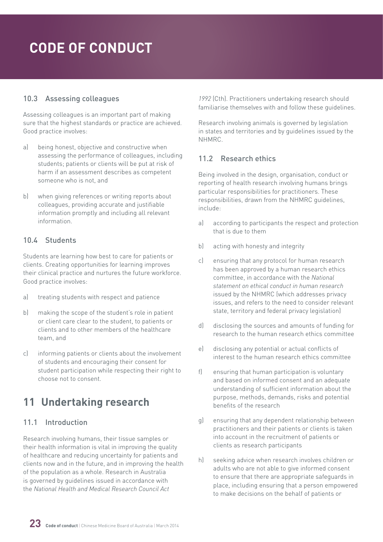#### <span id="page-22-0"></span>10.3 Assessing colleagues

Assessing colleagues is an important part of making sure that the highest standards or practice are achieved. Good practice involves:

- a) being honest, objective and constructive when assessing the performance of colleagues, including students; patients or clients will be put at risk of harm if an assessment describes as competent someone who is not, and
- b) when giving references or writing reports about colleagues, providing accurate and justifiable information promptly and including all relevant information.

#### 10.4 Students

Students are learning how best to care for patients or clients. Creating opportunities for learning improves their clinical practice and nurtures the future workforce. Good practice involves:

- a) treating students with respect and patience
- b) making the scope of the student's role in patient or client care clear to the student, to patients or clients and to other members of the healthcare team, and
- c) informing patients or clients about the involvement of students and encouraging their consent for student participation while respecting their right to choose not to consent.

### **11 Undertaking research**

#### 11.1 Introduction

Research involving humans, their tissue samples or their health information is vital in improving the quality of healthcare and reducing uncertainty for patients and clients now and in the future, and in improving the health of the population as a whole. Research in Australia is governed by guidelines issued in accordance with the *National Health and Medical Research Council Act* 

*1992* (Cth). Practitioners undertaking research should familiarise themselves with and follow these guidelines.

Research involving animals is governed by legislation in states and territories and by guidelines issued by the NHMRC.

#### 11.2 Research ethics

Being involved in the design, organisation, conduct or reporting of health research involving humans brings particular responsibilities for practitioners. These responsibilities, drawn from the NHMRC guidelines, include:

- a) according to participants the respect and protection that is due to them
- b) acting with honesty and integrity
- c) ensuring that any protocol for human research has been approved by a human research ethics committee, in accordance with the *National statement on ethical conduct in human research* issued by the NHMRC (which addresses privacy issues, and refers to the need to consider relevant state, territory and federal privacy legislation)
- d) disclosing the sources and amounts of funding for research to the human research ethics committee
- e) disclosing any potential or actual conflicts of interest to the human research ethics committee
- f) ensuring that human participation is voluntary and based on informed consent and an adequate understanding of sufficient information about the purpose, methods, demands, risks and potential benefits of the research
- g) ensuring that any dependent relationship between practitioners and their patients or clients is taken into account in the recruitment of patients or clients as research participants
- h) seeking advice when research involves children or adults who are not able to give informed consent to ensure that there are appropriate safeguards in place, including ensuring that a person empowered to make decisions on the behalf of patients or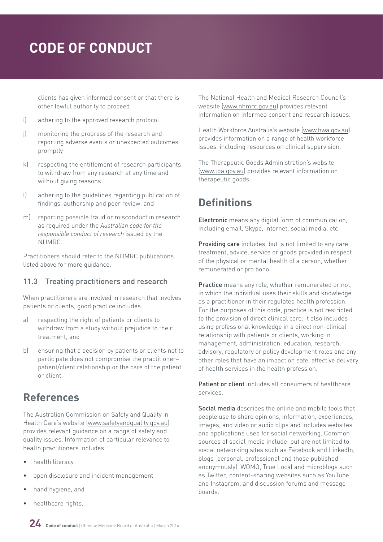<span id="page-23-0"></span>clients has given informed consent or that there is other lawful authority to proceed

- i) adhering to the approved research protocol
- j) monitoring the progress of the research and reporting adverse events or unexpected outcomes promptly
- k) respecting the entitlement of research participants to withdraw from any research at any time and without giving reasons
- l) adhering to the guidelines regarding publication of findings, authorship and peer review, and
- m) reporting possible fraud or misconduct in research as required under the *Australian code for the responsible conduct of research* issued by the NHMRC.

Practitioners should refer to the NHMRC publications listed above for more guidance.

#### 11.3 Treating practitioners and research

When practitioners are involved in research that involves patients or clients, good practice includes:

- a) respecting the right of patients or clients to withdraw from a study without prejudice to their treatment, and
- b) ensuring that a decision by patients or clients not to participate does not compromise the practitioner– patient/client relationship or the care of the patient or client.

### **References**

The Australian Commission on Safety and Quality in Health Care's website ([www.safetyandquality.gov.au\)](http://www.safetyandquality.gov.au) provides relevant guidance on a range of safety and quality issues. Information of particular relevance to health practitioners includes:

- health literacy
- open disclosure and incident management
- hand hygiene, and
- healthcare rights.

The National Health and Medical Research Council's website [\(www.nhmrc.gov.au\)](http://www.nhmrc.gov.au) provides relevant information on informed consent and research issues.

Health Workforce Australia's website [\(www.hwa.gov.au\)](http://www.hwa.gov.au) provides information on a range of health workforce issues, including resources on clinical supervision.

The Therapeutic Goods Administration's website [\(www.tga.gov.au\)](http://www.tga.gov.au) provides relevant information on therapeutic goods.

### **Definitions**

Electronic means any digital form of communication, including email, Skype, internet, social media, etc.

Providing care includes, but is not limited to any care, treatment, advice, service or goods provided in respect of the physical or mental health of a person, whether remunerated or pro bono.

Practice means any role, whether remunerated or not, in which the individual uses their skills and knowledge as a practitioner in their regulated health profession. For the purposes of this code, practice is not restricted to the provision of direct clinical care. It also includes using professional knowledge in a direct non-clinical relationship with patients or clients, working in management, administration, education, research, advisory, regulatory or policy development roles and any other roles that have an impact on safe, effective delivery of health services in the health profession.

Patient or client includes all consumers of healthcare services.

Social media describes the online and mobile tools that people use to share opinions, information, experiences, images, and video or audio clips and includes websites and applications used for social networking. Common sources of social media include, but are not limited to, social networking sites such as Facebook and LinkedIn. blogs (personal, professional and those published anonymously), WOMO, True Local and microblogs such as Twitter, content-sharing websites such as YouTube and Instagram, and discussion forums and message boards.